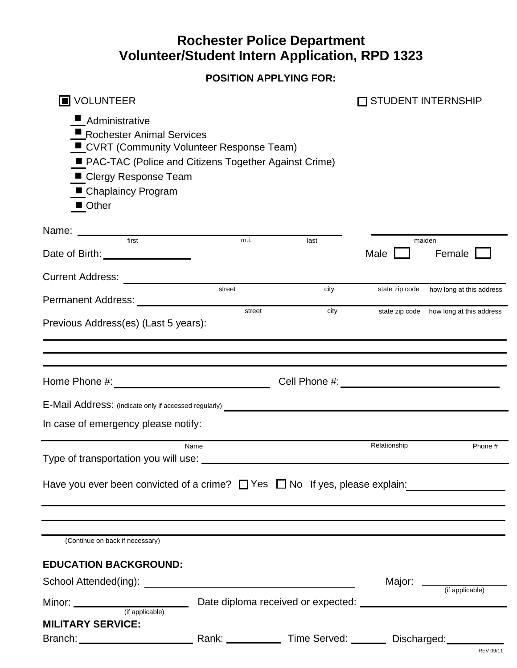## **Rochester Police Department Volunteer/Student Intern Application, RPD 1323**

**POSITION APPLYING FOR:**

| <b>J</b> VOLUNTEER<br>Administrative<br>Rochester Animal Services<br>CVRT (Community Volunteer Response Team)<br>PAC-TAC (Police and Citizens Together Against Crime)<br>■ Clergy Response Team<br>■ Chaplaincy Program |        |      |                | <b>STUDENT INTERNSHIP</b>               |
|-------------------------------------------------------------------------------------------------------------------------------------------------------------------------------------------------------------------------|--------|------|----------------|-----------------------------------------|
| ■ Other                                                                                                                                                                                                                 |        |      |                |                                         |
| Name: Name:<br>first                                                                                                                                                                                                    | m.i.   | last |                | maiden                                  |
| Date of Birth: <u>_____________________</u>                                                                                                                                                                             |        |      | Male           | Female                                  |
| <b>Current Address:</b>                                                                                                                                                                                                 | street | city | state zip code | how long at this address                |
|                                                                                                                                                                                                                         |        |      |                |                                         |
| Previous Address(es) (Last 5 years):                                                                                                                                                                                    | street | city |                | state zip code how long at this address |
|                                                                                                                                                                                                                         |        |      |                |                                         |
|                                                                                                                                                                                                                         |        |      |                |                                         |
| E-Mail Address: (indicate only if accessed regularly)                                                                                                                                                                   |        |      |                |                                         |
| In case of emergency please notify:                                                                                                                                                                                     |        |      |                |                                         |
| Type of transportation you will use:                                                                                                                                                                                    | Name   |      | Relationship   | Phone #                                 |
| Have you ever been convicted of a crime? $\Box$ Yes $\Box$ No If yes, please explain:                                                                                                                                   |        |      |                |                                         |
|                                                                                                                                                                                                                         |        |      |                |                                         |
| (Continue on back if necessary)                                                                                                                                                                                         |        |      |                |                                         |
| <b>EDUCATION BACKGROUND:</b>                                                                                                                                                                                            |        |      |                |                                         |
|                                                                                                                                                                                                                         |        |      |                |                                         |
|                                                                                                                                                                                                                         |        |      |                |                                         |
| <b>MILITARY SERVICE:</b>                                                                                                                                                                                                |        |      |                |                                         |
|                                                                                                                                                                                                                         |        |      |                |                                         |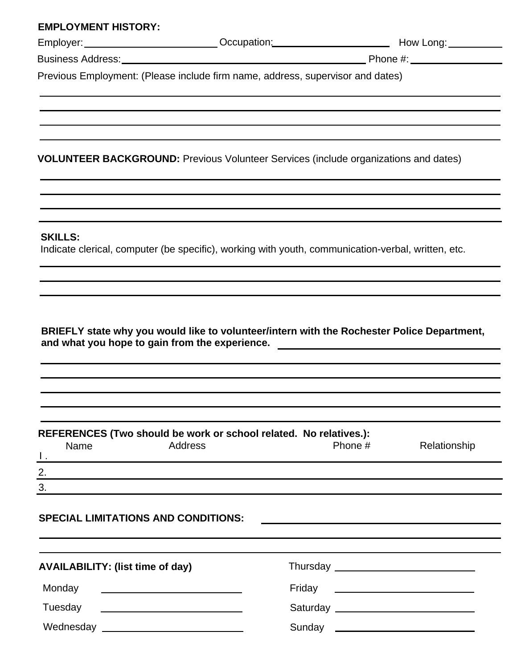| <b>EMPLOYMENT HISTORY:</b>                 |                                                                                                                                                                                                                               |         |                                                                                                          |
|--------------------------------------------|-------------------------------------------------------------------------------------------------------------------------------------------------------------------------------------------------------------------------------|---------|----------------------------------------------------------------------------------------------------------|
|                                            |                                                                                                                                                                                                                               |         | Employer: ___________________________Occupation:________________________________ How Long: _____________ |
|                                            |                                                                                                                                                                                                                               |         |                                                                                                          |
|                                            | Previous Employment: (Please include firm name, address, supervisor and dates)                                                                                                                                                |         |                                                                                                          |
|                                            |                                                                                                                                                                                                                               |         |                                                                                                          |
|                                            |                                                                                                                                                                                                                               |         |                                                                                                          |
|                                            | <b>VOLUNTEER BACKGROUND: Previous Volunteer Services (include organizations and dates)</b>                                                                                                                                    |         |                                                                                                          |
|                                            |                                                                                                                                                                                                                               |         |                                                                                                          |
| <b>SKILLS:</b>                             | Indicate clerical, computer (be specific), working with youth, communication-verbal, written, etc.                                                                                                                            |         |                                                                                                          |
|                                            |                                                                                                                                                                                                                               |         |                                                                                                          |
|                                            |                                                                                                                                                                                                                               |         |                                                                                                          |
|                                            | REFERENCES (Two should be work or school related. No relatives.):<br>Address                                                                                                                                                  |         |                                                                                                          |
| Name<br>$\mathbf{I}$ .                     |                                                                                                                                                                                                                               | Phone # | Relationship                                                                                             |
| 2.                                         |                                                                                                                                                                                                                               |         |                                                                                                          |
| 3.                                         | the control of the control of the control of the control of the control of the control of the control of the control of the control of the control of the control of the control of the control of the control of the control |         |                                                                                                          |
| <b>SPECIAL LIMITATIONS AND CONDITIONS:</b> |                                                                                                                                                                                                                               |         |                                                                                                          |
| <b>AVAILABILITY: (list time of day)</b>    |                                                                                                                                                                                                                               |         |                                                                                                          |
| Monday                                     |                                                                                                                                                                                                                               |         |                                                                                                          |
|                                            |                                                                                                                                                                                                                               | Friday  | <u> 1989 - Andrea Station Barbara, amerikan personal (h. 1989)</u>                                       |
| Tuesday                                    |                                                                                                                                                                                                                               |         |                                                                                                          |

|  |  | Wednesday |  |  |  |
|--|--|-----------|--|--|--|
|--|--|-----------|--|--|--|